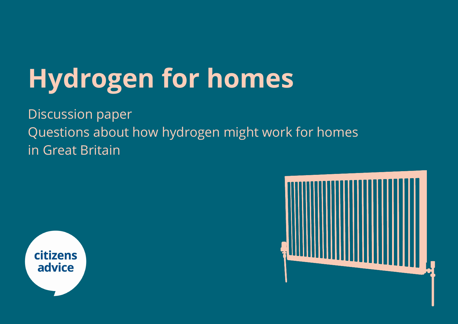# **Hydrogen for homes**

Discussion paper Questions about how hydrogen might work for homes in Great Britain



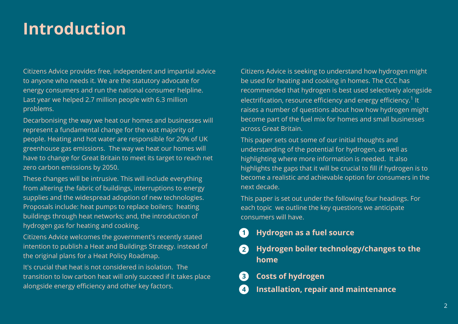# **Introduction**

Citizens Advice provides free, independent and impartial advice to anyone who needs it. We are the statutory advocate for energy consumers and run the national consumer helpline. Last year we helped 2.7 million people with 6.3 million problems.

Decarbonising the way we heat our homes and businesses will represent a fundamental change for the vast majority of people. Heating and hot water are responsible for 20% of UK greenhouse gas emissions. The way we heat our homes will have to change for Great Britain to meet its target to reach net zero carbon emissions by 2050.

These changes will be intrusive. This will include everything from altering the fabric of buildings, interruptions to energy supplies and the widespread adoption of new technologies. Proposals include: heat pumps to replace boilers; heating buildings through heat networks; and, the introduction of hydrogen gas for heating and cooking.

Citizens Advice welcomes the government's recently stated intention to publish a Heat and Buildings Strategy. instead of the original plans for a Heat Policy Roadmap.

It's crucial that heat is not considered in isolation. The transition to low carbon heat will only succeed if it takes place alongside energy efficiency and other key factors.

Citizens Advice is seeking to understand how hydrogen might be used for heating and cooking in homes. The CCC has recommended that hydrogen is best used selectively alongside electrification, resource efficiency and energy efficiency. $^{\rm 1}$  It raises a number of questions about how how hydrogen might become part of the fuel mix for homes and small businesses across Great Britain.

This paper sets out some of our initial thoughts and understanding of the potential for hydrogen, as well as highlighting where more information is needed. It also highlights the gaps that it will be crucial to fill if hydrogen is to become a realistic and achievable option for consumers in the next decade.

This paper is set out under the following four headings. For each topic we outline the key questions we anticipate consumers will have.

#### **Hydrogen as a fuel source 1**

- **Hydrogen boiler technology/changes to the home 2**
- **Costs of hydrogen 3**
- **Installation, repair and maintenance ] 3 4**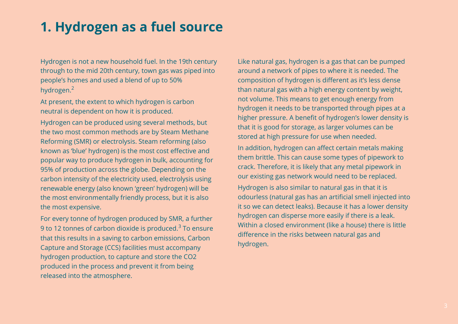### **1. Hydrogen as a fuel source**

Hydrogen is not a new household fuel. In the 19th century through to the mid 20th century, town gas was piped into people's homes and used a blend of up to 50% hydrogen.<sup>2</sup>

At present, the extent to which hydrogen is carbon neutral is dependent on how it is produced.

Hydrogen can be produced using several methods, but the two most common methods are by Steam Methane Reforming (SMR) or electrolysis. Steam reforming (also known as 'blue' hydrogen) is the most cost effective and popular way to produce hydrogen in bulk, accounting for 95% of production across the globe. Depending on the carbon intensity of the electricity used, electrolysis using renewable energy (also known 'green' hydrogen) will be the most environmentally friendly process, but it is also the most expensive.

For every tonne of hydrogen produced by SMR, a further 9 to 12 tonnes of carbon dioxide is produced. $^3$  To ensure that this results in a saving to carbon emissions, Carbon Capture and Storage (CCS) facilities must accompany hydrogen production, to capture and store the CO2 produced in the process and prevent it from being released into the atmosphere.

Like natural gas, hydrogen is a gas that can be pumped around a network of pipes to where it is needed. The composition of hydrogen is different as it's less dense than natural gas with a high energy content by weight, not volume. This means to get enough energy from hydrogen it needs to be transported through pipes at a higher pressure. A benefit of hydrogen's lower density is that it is good for storage, as larger volumes can be stored at high pressure for use when needed.

In addition, hydrogen can affect certain metals making them brittle. This can cause some types of pipework to crack. Therefore, it is likely that any metal pipework in our existing gas network would need to be replaced.

Hydrogen is also similar to natural gas in that it is odourless (natural gas has an artificial smell injected into it so we can detect leaks). Because it has a lower density hydrogen can disperse more easily if there is a leak. Within a closed environment (like a house) there is little difference in the risks between natural gas and hydrogen.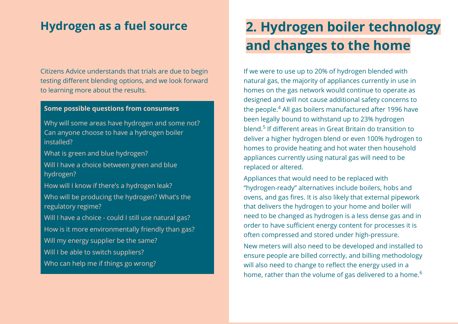### **Hydrogen as a fuel source**

Citizens Advice understands that trials are due to begin testing different blending options, and we look forward to learning more about the results.

#### **Some possible questions from consumers**

Why will some areas have hydrogen and some not? Can anyone choose to have a hydrogen boiler installed?

What is green and blue hydrogen?

Will I have a choice between green and blue hydrogen?

How will I know if there's a hydrogen leak? Who will be producing the hydrogen? What's the regulatory regime? Will I have a choice - could I still use natural gas? How is it more environmentally friendly than gas? Will my energy supplier be the same? Will I be able to switch suppliers?

Who can help me if things go wrong?

# **2. Hydrogen boiler technology and changes to the home**

If we were to use up to 20% of hydrogen blended with natural gas, the majority of appliances currently in use in homes on the gas network would continue to operate as designed and will not cause additional safety concerns to the people. $\rm ^4$  All gas boilers manufactured after 1996 have been legally bound to withstand up to 23% hydrogen blend.<sup>5</sup> If different areas in Great Britain do transition to deliver a higher hydrogen blend or even 100% hydrogen to homes to provide heating and hot water then household appliances currently using natural gas will need to be replaced or altered.

Appliances that would need to be replaced with "hydrogen-ready" alternatives include boilers, hobs and ovens, and gas fires. It is also likely that external pipework that delivers the hydrogen to your home and boiler will need to be changed as hydrogen is a less dense gas and in order to have sufficient energy content for processes it is often compressed and stored under high-pressure.

New meters will also need to be developed and installed to ensure people are billed correctly, and billing methodology will also need to change to reflect the energy used in a home, rather than the volume of gas delivered to a home.<sup>6</sup>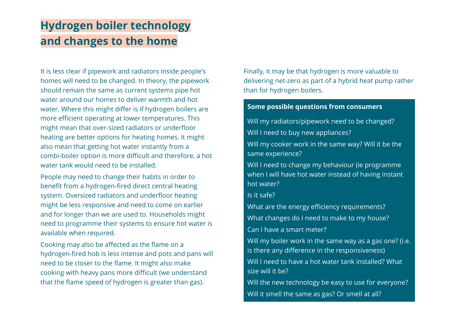### **Hydrogen boiler technology and changes to the home**

It is less clear if pipework and radiators inside people's homes will need to be changed. In theory, the pipework should remain the same as current systems pipe hot water around our homes to deliver warmth and hot water. Where this might differ is if hydrogen boilers are more efficient operating at lower temperatures. This might mean that over-sized radiators or underfloor heating are better options for heating homes. It might also mean that getting hot water instantly from a combi-boiler option is more difficult and therefore, a hot water tank would need to be installed.

People may need to change their habits in order to benefit from a hydrogen-fired direct central heating system. Oversized radiators and underfloor heating might be less responsive and need to come on earlier and for longer than we are used to. Households might need to programme their systems to ensure hot water is available when required.

Cooking may also be affected as the flame on a hydrogen-fired hob is less intense and pots and pans will need to be closer to the flame. It might also make cooking with heavy pans more difficult (we understand that the flame speed of hydrogen is greater than gas).

Finally, it may be that hydrogen is more valuable to delivering net-zero as part of a hybrid heat pump rather than for hydrogen boilers.

#### **Some possible questions from consumers**

Will my radiators/pipework need to be changed? Will I need to buy new appliances?

Will my cooker work in the same way? Will it be the same experience?

Will I need to change my behaviour (ie programme when I will have hot water instead of having instant hot water?

Is it safe?

What are the energy efficiency requirements? What changes do I need to make to my house? Can I have a smart meter?

Will my boiler work in the same way as a gas one? (i.e. is there any difference in the responsiveness)

Will I need to have a hot water tank installed? What size will it be?

Will the new technology be easy to use for everyone? Will it smell the same as gas? Or smell at all?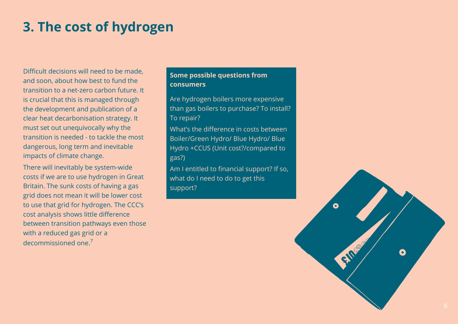# **3. The cost of hydrogen**

Difficult decisions will need to be made, and soon, about how best to fund the transition to a net-zero carbon future. It is crucial that this is managed through the development and publication of a clear heat decarbonisation strategy. It must set out unequivocally why the transition is needed - to tackle the most dangerous, long term and inevitable impacts of climate change.

There will inevitably be system-wide costs if we are to use hydrogen in Great Britain. The sunk costs of having a gas grid does not mean it will be lower cost to use that grid for hydrogen. The CCC's cost analysis shows little difference between transition pathways even those with a reduced gas grid or a decommissioned one.<sup>7</sup>

#### **Some possible questions from consumers**

Are hydrogen boilers more expensive than gas boilers to purchase? To install? To repair?

What's the difference in costs between Boiler/Green Hydro/ Blue Hydro/ Blue Hydro +CCUS (Unit cost?/compared to gas?)

Am I entitled to financial support? If so, what do I need to do to get this support?

Q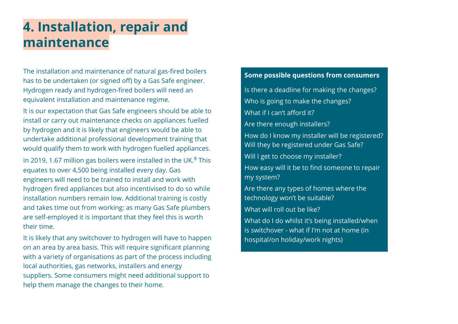### **4. Installation, repair and maintenance**

The installation and maintenance of natural gas-fired boilers has to be undertaken (or signed off) by a Gas Safe engineer. Hydrogen ready and hydrogen-fired boilers will need an equivalent installation and maintenance regime.

It is our expectation that Gas Safe engineers should be able to install or carry out maintenance checks on appliances fuelled by hydrogen and it is likely that engineers would be able to undertake additional professional development training that would qualify them to work with hydrogen fuelled appliances.

In 2019, 1.67 million gas boilers were installed in the UK. $8$  This equates to over 4,500 being installed every day. Gas engineers will need to be trained to install and work with hydrogen fired appliances but also incentivised to do so while installation numbers remain low. Additional training is costly and takes time out from working: as many Gas Safe plumbers are self-employed it is important that they feel this is worth their time.

It is likely that any switchover to hydrogen will have to happen on an area by area basis. This will require significant planning with a variety of organisations as part of the process including local authorities, gas networks, installers and energy suppliers. Some consumers might need additional support to help them manage the changes to their home.

#### **Some possible questions from consumers**

Is there a deadline for making the changes? Who is going to make the changes? What if I can't afford it? Are there enough installers? How do I know my installer will be registered? Will they be registered under Gas Safe? Will I get to choose my installer? How easy will it be to find someone to repair my system? Are there any types of homes where the technology won't be suitable? What will roll out be like? What do I do whilst it's being installed/when is switchover - what if I'm not at home (in hospital/on holiday/work nights)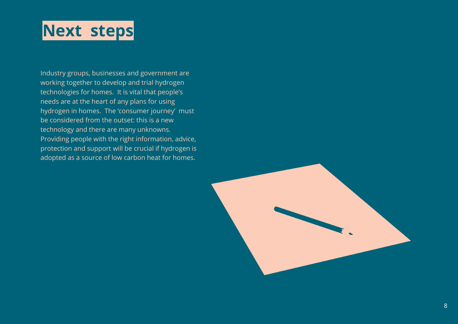# **Next steps**

Industry groups, businesses and government are working together to develop and trial hydrogen technologies for homes. It is vital that people's needs are at the heart of any plans for using hydrogen in homes. The 'consumer journey' must be considered from the outset: this is a new technology and there are many unknowns. Providing people with the right information, advice, protection and support will be crucial if hydrogen is adopted as a source of low carbon heat for homes.

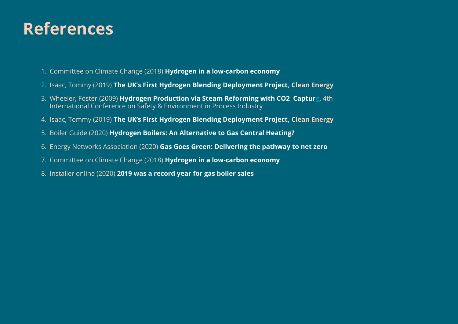# **References**

- 1. Committee on Climate Change (2018) **[Hydrogen in a low-carbon economy](https://www.theccc.org.uk/publication/hydrogen-in-a-low-carbon-economy/)**
- 2. Isaac, Tommy (2019) **[The UK's First Hydrogen Blending Deployment Project,](https://academic.oup.com/ce/article/3/2/114/5487479) Clean Energy**
- 3. Wheeler, Foster (2009) **[Hydrogen Production via Steam Reforming with CO2 Capture](https://www.aidic.it/CISAP4/webpapers/7Collodi.pdf)**, 4th International Conference on Safety & Environment in Process Industry
- 4. Isaac, Tommy (2019) **[The UK's First Hydrogen Blending Deployment Project,](https://academic.oup.com/ce/article/3/2/114/5487479) Clean Energy**
- 5. Boiler Guide (2020) **[Hydrogen Boilers: An Alternative to Gas Central Heating?](https://www.boilerguide.co.uk/articles/hydrogen-boilers-alternative-gas-central-heating)**
- 6. Energy Networks Association (2020) **[Gas Goes Green: Delivering the pathway to net zero](https://www.energynetworks.org/assets/files/GGG_Launch_Doc_FINAL.pdf)**
- 7. Committee on Climate Change (2018) **[Hydrogen in a low-carbon economy](https://www.theccc.org.uk/publication/hydrogen-in-a-low-carbon-economy/)**
- 8. Installer online (2020) **[2019 was a record year for gas boiler sales](https://www.installeronline.co.uk/2019-record-year-gas-boiler-sales/)**